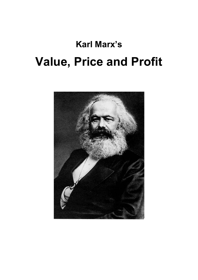# **Karl Marx's Value, Price and Profit**

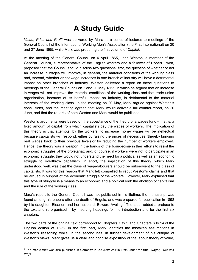# **A Study Guide**

*Value, Price and Profit* was delivered by Marx as a series of lectures to meetings of the General Council of the International Working Men's Association (the First International) on 20 and 27 June 1865, while Marx was preparing the first volume of *Capital*.

At the meeting of the General Council on 4 April 1865, John Weston, a member of the General Council, a representative of the English workers and a follower of Robert Owen, proposed that the Council should discuss two questions: first, the question of whether or not an increase in wages will improve, in general, the material conditions of the working class and, second, whether or not wage increases in one branch of industry will have a detrimental impact on other branches of industry. Weston delivered a report on these questions to meetings of the General Council on 2 and 20 May 1865, in which he argued that an increase in wages will not improve the material conditions of the working class and that trade union organisation, because of its harmful impact on industry, is detrimental to the material interests of the working class. In the meeting on 20 May, Marx argued against Weston's conclusions, and the meeting agreed that Marx would deliver a full counter-report, on 20 June, and that the reports of both Weston and Marx would be published.

Weston's arguments were based on the acceptance of the theory of a wages fund – that is, a fixed amount of capital from which capitalists pay the wages of workers. The implication of this theory is that attempts, by the workers, to increase money wages will be ineffectual because capitalists will respond, either by raising the prices of necessities (thereby bringing real wages back to their previous level) or by reducing the number of workers employed. Hence, the theory was a weapon in the hands of the bourgeoisie in their efforts to resist the economic struggles of the proletariat; and, of course, if workers were not to participate in an economic struggle, they would not understand the need for a political as well as an economic struggle to overthrow capitalism. In short, the implication of this theory, which Marx understood well, was that the class of wage-labourers should be subservient to the class of capitalists. It was for this reason that Marx felt compelled to rebut Weston's claims and that he argued in support of the economic struggle of the workers. However, Marx explained that this type of struggle is a means to an economic and a political end: the abolition of capitalism and the rule of the working class.

Marx's report to the General Council was not published in his lifetime: the manuscript was found among his papers after the death of Engels, and was prepared for publication in 1898 by his daughter, Eleanor, and her husband, Edward Aveling.<sup>1</sup> The latter added a preface to the text and re-organised it by inserting headings for the introduction and for the first six chapters.

The two parts of the original text correspond to Chapters 1 to 5 and Chapters 6 to 14 of the English edition of 1898. In the first part, Marx identifies the mistaken assumptions in Weston's reasoning while, in the second half, in further development of his critique of Weston's views, Marx gives us a clear and concise exposition of the labour theory of value,

<sup>1</sup> The manuscript was also published in Germany in *Die Neue Zeit* in 1898 under the title, *Wages, Price and Profit*.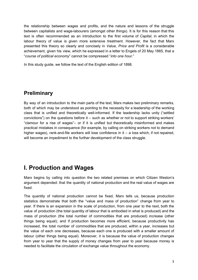the relationship between wages and profits, and the nature and lessons of the struggle between capitalists and wage-labourers (amongst other things). It is for this reason that this text is often recommended as an introduction to the first volume of *Capital*, in which the labour theory of value is given more extensive treatment. However, the fact that Marx presented this theory so clearly and concisely in *Value, Price and Profit* is a considerable achievement, given his view, which he expressed in a letter to Engels of 20 May 1865, that a "*course of political economy*" cannot be compressed "*into one hour*."

In this study guide, we follow the text of the English edition of 1898.

#### **Preliminary**

By way of an introduction to the main parts of the text, Marx makes two preliminary remarks, both of which may be understood as pointing to the necessity for a leadership of the working class that is unified and theoretically well-informed. If the leadership lacks unity ("settled convictions") on the questions before it – such as whether or not to support striking workers' "clamour for a rise of wages"– or if it is unified but theoretically misinformed and makes practical mistakes in consequence (for example, by calling on striking workers not to demand higher wages), rank-and-file workers will lose confidence in it – a loss which, if not repaired, will become an impediment to the further development of the class struggle.

# **I. Production and Wages**

Marx begins by calling into question the two related premises on which Citizen Weston's argument depended: that the quantity of national production and the real value of wages are fixed.

The quantity of national production cannot be fixed, Marx tells us, because production statistics demonstrate that both the "value and mass of production" change from year to year. If there is an expansion in the scale of production, from one year to the next, both the value of production (the total quantity of labour that is embodied in what is produced) and the mass of production (the total number of commodities that are produced) increase (other things being equal); and if production becomes more efficient, because productivity has increased, the total number of commodities that are produced, within a year, increases but the value of each one decreases, because each one is produced with a smaller amount of labour (other things being equal). Moreover, it is because the value of production changes from year to year that the supply of money changes from year to year because money is needed to facilitate the circulation of exchange value throughout the economy.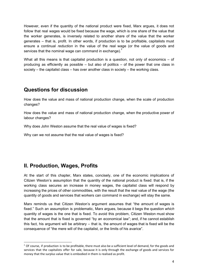However, even if the quantity of the national product were fixed, Marx argues, it does not follow that real wages would be fixed because the wage, which is one share of the value that the worker generates, is inversely related to another share of the value that the worker generates – that is, profit. In other words, if production is to be profitable, capitalists must ensure a continual *reduction* in the value of the real wage (or the value of goods and services that the nominal wage can command in exchange). $^{2}$ 

What all this means is that capitalist production is a question, not only of economics – of producing as efficiently as possible – but also of politics – of the power that one class in society – the capitalist class – has over another class in society – the working class.

#### **Questions for discussion**

How does the value and mass of national production change, when the scale of production changes?

How does the value and mass of national production change, when the productive power of labour changes?

Why does John Weston assume that the real value of wages is fixed?

Why can we not assume that the real value of wages is fixed?

#### **II. Production, Wages, Profits**

At the start of this chapter, Marx states, concisely, one of the economic implications of Citizen Weston's assumption that the quantity of the national product is fixed: that is, if the working class secures an increase in money wages, the capitalist class will respond by increasing the prices of other commodities, with the result that the real value of the wage (the quantity of goods and services that workers can command in exchange) will stay the same.

Marx reminds us that Citizen Weston's argument assumes that "the amount of wages is fixed." Such an assumption is problematic, Marx argues, because it begs the question *which* quantity of wages is the one that is fixed. To avoid this problem, Citizen Weston must show that the amount that is fixed is governed "by an economical law"; and, if he cannot establish this fact, his argument will be arbitrary – that is, the amount of wages that is fixed will be the consequence of "the mere will of the capitalist, or the limits of his avarice".

 $2$  Of course, if production is to be profitable, there must also be a sufficient level of demand, for the goods and services that the capitalists offer for sale, because it is only through the exchange of goods and services for money that the surplus value that is embodied in them is realised as profit.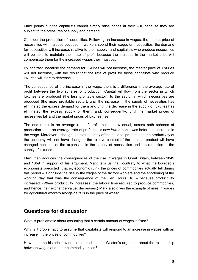Marx points out the capitalists cannot simply raise prices at their will, because they are subject to the pressures of supply and demand.

Consider the production of necessities. Following an increase in wages, the market price of necessities will increase because, if workers spend their wages on necessities, the demand for necessities will increase, relative to their supply; and capitalists who produce necessities will be able to maintain their rate of profit because the increase in the market price will compensate them for the increased wages they must pay.

By contrast, because the demand for luxuries will not increase, the market price of luxuries will not increase, with the result that the rate of profit for those capitalists who produce luxuries will start to decrease.

The consequence of the increase in the wage, then, is a difference in the average rate of profit between the two spheres of production. Capital will flow from the sector in which luxuries are produced (the less profitable sector), to the sector in which necessities are produced (the more profitable sector), until the increase in the supply of necessities has eliminated the excess demand for them and until the decrease in the supply of luxuries has eliminated the excess supply of them; and, consequently, until the market prices of necessities fall and the market prices of luxuries rise.

The end result is an average rate of profit that is now equal, across both spheres of production – but an average rate of profit that is now *lower* than it was before the increase in the wage. Moreover, although the total quantity of the national product and the productivity of the economy will not have changed, the relative content of the national product will have changed because of the expansion in the supply of necessities and the reduction in the supply of luxuries.

Marx then adduces the consequences of the rise in wages in Great Britain, between 1849 and 1859 in support of his argument. Marx tells us that, contrary to what the bourgeois economists predicted (that is, economic ruin), the prices of commodities actually fell during this period – alongside the rise in the wages of the factory workers and the shortening of the working day that was the consequence of the Ten Hours Bill – because productivity increased. (When productivity increases, the labour time required to produce commodities, and hence their exchange value, decreases.) Marx also gives the example of rises in wages for agricultural workers alongside falls in the price of wheat.

#### **Questions for discussion**

What is problematic about assuming that a certain amount of wages is fixed?

Why is it problematic to assume that capitalists will respond to an increase in wages with an increase in the prices of commodities?

How does the historical evidence contradict John Weston's argument about the relationship between wages and other commodity prices?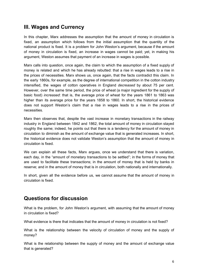#### **III. Wages and Currency**

In this chapter, Marx addresses the assumption that the amount of money in circulation is fixed, an assumption which follows from the initial assumption that the quantity of the national product is fixed. It is a problem for John Weston's argument, because if the amount of money in circulation is fixed, an increase in wages cannot be paid; yet, in making his argument, Weston assumes that payment of an increase in wages is possible.

Marx calls into question, once again, the claim to which the assumption of a fixed supply of money is related and which he has already rebutted: that a rise in wages leads to a rise in the prices of necessities. Marx shows us, once again, that the facts contradict this claim. In the early 1860s, for example, as the degree of international competition in the cotton industry intensified, the wages of cotton operatives in England *decreased* by about 75 per cent. However, over the same time period, the price of wheat (a major ingredient for the supply of basic food) *increased*: that is, the average price of wheat for the years 1861 to 1863 was higher than its average price for the years 1858 to 1860. In short, the historical evidence does not support Weston's claim that a rise in wages leads to a rise in the prices of necessities.

Marx then observes that, despite the vast increase in monetary transactions in the railway industry in England between 1842 and 1862, the total amount of money in circulation stayed roughly the same; indeed, he points out that there is a tendency for the amount of money in circulation to diminish as the amount of exchange value that is generated increases. In short, the historical evidence does not validate Weston's assumption that the amount of money in circulation is fixed.

We can explain all these facts, Marx argues, once we understand that there is variation, each day, in the "amount of monetary transactions to be settled"; in the forms of money that are used to facilitate these transactions; in the amount of money that is held by banks in reserve; and in the amount of money that is in circulation, both nationally and internationally.

In short, given all the evidence before us, we cannot assume that the amount of money in circulation is fixed.

#### **Questions for discussion**

What is the problem, for John Weston's argument, with assuming that the amount of money in circulation is fixed?

What evidence is there that indicates that the amount of money in circulation is not fixed?

What is the relationship between the velocity of circulation of money and the supply of money?

What is the relationship between the supply of money and the amount of exchange value that is generated?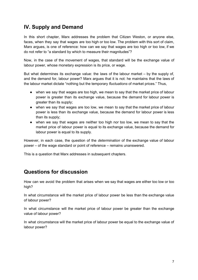# **IV. Supply and Demand**

In this short chapter, Marx addresses the problem that Citizen Weston, or anyone else, faces, when they say that wages are too high or too low. The problem with this sort of claim, Marx argues, is one of reference: how can we say that wages are too high or too low, if we do not refer to "a standard by which to measure their magnitudes"?

Now, in the case of the movement of wages, that standard will be the exchange value of labour power, whose monetary expression is its price, or wage.

But what determines its exchange value: the laws of the labour market – by the supply of, and the demand for, labour power? Marx argues that it is not: he maintains that the laws of the labour market dictate "nothing but the temporary *fluctuations* of market prices." Thus,

- when we say that wages are too high, we mean to say that the market price of labour power is greater than its exchange value, because the demand for labour power is greater than its supply;
- when we say that wages are too low, we mean to say that the market price of labour power is less than its exchange value, because the demand for labour power is less than its supply;
- when we say that wages are neither too high nor too low, we mean to say that the market price of labour power is equal to its exchange value, because the demand for labour power is equal to its supply.

However, in each case, the question of the *determination* of the exchange value of labour power – of the wage standard or point of reference – remains unanswered.

This is a question that Marx addresses in subsequent chapters.

#### **Questions for discussion**

How can we avoid the problem that arises when we say that wages are either too low or too high?

In what circumstance will the market price of labour power be less than the exchange value of labour power?

In what circumstance will the market price of labour power be greater than the exchange value of labour power?

In what circumstance will the market price of labour power be equal to the exchange value of labour power?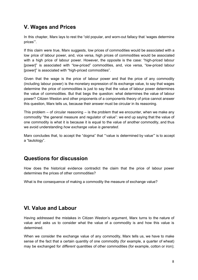# **V. Wages and Prices**

In this chapter, Marx lays to rest the "old popular, and worn-out fallacy that 'wages determine prices'".

If this claim were true, Marx suggests, low prices of commodities would be associated with a low price of labour power, and, vice versa, high prices of commodities would be associated with a high price of labour power. However, the opposite is the case: "high-priced labour [power]" is associated with "low-priced" commodities, and, vice versa, "low-priced labour [power]" is associated with "high-priced commodities".

Given that the wage is the price of labour power and that the price of any commodity (including labour power) is the monetary expression of its exchange value, to say that wages determine the price of commodities is just to say that the value of labour power determines the value of commodities. But that begs the question: what determines the value of labour power? Citizen Weston and other proponents of a components theory of price cannot answer this question, Marx tells us, because their answer must be circular in its reasoning.

This problem  $-$  of circular reasoning  $-$  is the problem that we encounter, when we make any commodity "the general measure and regulator of value": we end up saying that the value of one commodity is what it is because it is equal to the value of another commodity, and thus we avoid understanding *how exchange value is generated*.

Marx concludes that, to accept the "dogma" that "'value is determined by value'" is to accept a "tautology".

#### **Questions for discussion**

How does the historical evidence contradict the claim that the price of labour power determines the prices of other commodities?

What is the consequence of making a commodity the measure of exchange value?

#### **VI. Value and Labour**

Having addressed the mistakes in Citizen Weston's argument, Marx turns to the nature of value and asks us to consider what the value of a commodity is and how this value is determined.

When we consider the exchange value of any commodity, Marx tells us, we have to make sense of the fact that a certain quantity of one commodity (for example, a quarter of wheat) may be exchanged for *different* quantities of other commodities (for example, cotton or iron);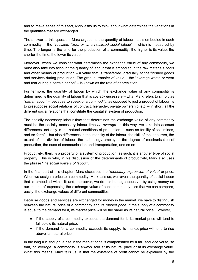and to make sense of this fact, Marx asks us to think about what determines the variations in the quantities that are exchanged.

The answer to this question, Marx argues, is the quantity of labour that is embodied in each commodity – the "*realized, fixed, or … crystallized social labour*" – which is measured by time. The longer is the time for the production of a commodity, the higher is its value; the shorter the time, the lower its value.

Moreover, when we consider what determines the exchange value of any commodity, we must also take into account the quantity of labour that is embodied in the raw materials, tools and other means of production  $-$  a value that is transferred, gradually, to the finished goods and services during production. The gradual transfer of value – the "average waste or wear and tear during a certain period" – is known as the rate of depreciation.

Furthermore, the quantity of labour by which the exchange value of any commodity is determined is the quantity of labour that is *socially necessary* – what Marx refers to simply as "social labour" – because to speak of a *commodity*, as opposed to just a product of labour, is to presuppose social relations of contract, hierarchy, private ownership, etc. – in short, all the different social relations that constitute the capitalist system of production.

The socially necessary labour time that determines the exchange value of any commodity must be the socially necessary labour time *on average*. In this way, we take into account differences, not only in the natural conditions of production – "such as fertility of soil, mines, and so forth" – but also differences in the intensity of the labour, the skill of the labourers, the extent of the division of labour, the technology employed, the degree of mechanisation of production, the ease of communication and transportation, and so on.

Productivity, then, is a property of a system of production; as such, it is another type of social property. This is why, in his discussion of the determinants of productivity, Marx also uses the phrase "the *social powers of labour*".

In the final part of this chapter, Marx discusses the "*monetary expression of value*" or price. When we assign a price to a commodity, Marx tells us, we reveal the quantity of social labour that is embodied within it; and, moreover, we do this homogeneously – by using money as our means of expressing the exchange value of each commodity – so that we can compare, easily, the exchange values of different commodities.

Because goods and services are exchanged for money in the market, we have to distinguish between the natural price of a commodity and its *market price*. If the supply of a commodity is equal to the demand for it, its market price will be the same as its natural price. However,

- if the supply of a commodity exceeds the demand for it, its market price will tend to fall below its natural price;
- if the demand for a commodity exceeds its supply, its market price will tend to rise above its natural price.

In the long run, though, a rise in the market price is compensated by a fall, and vice versa, so that, on average, a commodity is always sold at its natural price or at its exchange value. What this means, Marx tells us, is that the existence of profit cannot be explained by the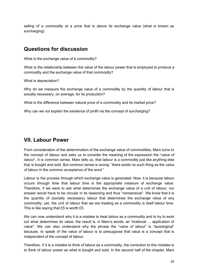selling of a commodity at a price that is above its exchange value (what is known as surcharging).

#### **Questions for discussion**

What is the exchange value of a commodity?

What is the relationship between the value of the labour power that is employed to produce a commodity and the exchange value of that commodity?

What is depreciation?

Why do we measure the exchange value of a commodity by the quantity of labour that is socially necessary, on average, for its production?

What is the difference between natural price of a commodity and its market price?

Why can we not explain the existence of profit via the concept of surcharging?

#### **VII. Labour Power**

From consideration of the determination of the exchange value of commodities, Marx turns to the concept of labour and asks us to consider the meaning of the expression the "*value of labour*". It is common sense, Marx tells us, that labour is a commodity just like anything else that is bought and sold. But common sense is wrong: "there exists no such thing as the *value of labour* in the common acceptance of the word."

Labour is the process through which exchange value is generated. Now, it is because labour occurs through time that *labour time* is the appropriate measure of exchange value. Therefore, if we were to ask what determines the exchange value of a unit of labour, our answer would have to be circular in its reasoning and thus "nonsensical". We know that it is the quantity of (socially necessary) labour that determines the exchange value of any commodity; yet, the unit of labour that we are treating as a commodity is itself labour time. This is like saying that £5 is worth £5.

We can now understand why it is a mistake to treat *labour* as a commodity and to try to work out what determines its value; the result is, in Marx's words, an "irrational … application of value". We can also understand why the phrase the "*value of labour*" is "tautological" because, to speak of the value *of* labour is to presuppose that value is a concept that is *independent* of the concept of labour.

Therefore, if it is a mistake to think of labour as a commodity, the correction to this mistake is to think of *labour power* as what is bought and sold. In the second half of the chapter, Marx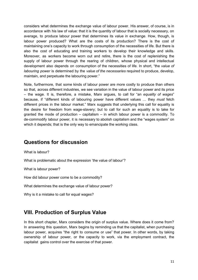considers what determines the exchange value of labour power. His answer, of course, is in accordance with his law of value: that it is the quantity of labour that is socially necessary, on average, to produce labour power that determines its value in exchange. How, though, is labour power produced? What are the costs of its production? There is the cost of maintaining one's capacity to work through consumption of the necessities of life. But there is also the cost of educating and training workers to develop their knowledge and skills. Moreover, as workers become worn out and retire, there is the cost of replenishing the supply of labour power through the rearing of children, whose physical and intellectual development also depends on consumption of the necessities of life. In short, "the *value of labouring power* is determined by the *value of the necessaries* required to produce, develop, maintain, and perpetuate the labouring power."

Note, furthermore, that some kinds of labour power are more costly to produce than others so that, across different industries, we see variation in the value of labour power and its price – the wage. It is, therefore, a mistake, Marx argues, to call for "an *equality of wages*" because, if "different kinds of labouring power have different values … they *must* fetch different prices in the labour market." Marx suggests that underlying this call for equality is the desire for freedom from wage-slavery; but to call for such an equality is to take for granted the mode of production  $-$  capitalism  $-$  in which labour power is a commodity. To de-commodify labour power, it is necessary to abolish capitalism and the "wages system" on which it depends; that is the only way to emancipate the working class.

#### **Questions for discussion**

What is labour?

What is problematic about the expression 'the value of labour'?

What is labour power?

How did labour power come to be a commodity?

What determines the exchange value of labour power?

Why is it a mistake to call for equal wages?

#### **VIII. Production of Surplus Value**

In this short chapter, Marx considers the origin of surplus value. Where does it come from? In answering this question, Marx begins by reminding us that the capitalist, when purchasing labour power, acquires "the right to consume or use" that power. In other words, by taking ownership of labour power, or the capacity to work, via the employment contract, the capitalist gains control over the exercise of that power.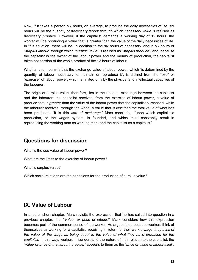Now, if it takes a person six hours, on average, to produce the daily necessities of life, six hours will be the quantity of *necessary labour* through which *necessary value* is realised as *necessary produce*. However, if the capitalist demands a working day of 12 hours, the worker will be producing a value that is greater than the value of the daily necessities of life. In this situation, there will be, in addition to the six hours of necessary labour, six hours of "*surplus labour*" through which "*surplus value*" is realised as "*surplus produce*"; and, because the capitalist is the owner of the labour power and the means of production, the capitalist takes possession of the whole product of the 12 hours of labour.

What all this means is that the exchange value of labour power, which "is determined by the quantity of labour necessary to maintain or reproduce it", is distinct from the "*use*" or "exercise" of labour power, which is limited only by the physical and intellectual capacities of the labourer.

The origin of surplus value, therefore, lies in the unequal exchange between the capitalist and the labourer: the capitalist receives, from the exercise of labour power, a value of produce that is *greater* than the value of the labour power that the capitalist purchased, while the labourer receives, through the wage, a value that is *less* than the total value of what has been produced. "It is this *sort of exchange*," Marx concludes, "upon which capitalistic production, or the wages system, is founded, and which must constantly result in reproducing the working man as working man, and the capitalist as a capitalist."

#### **Questions for discussion**

What is the use value of labour power?

What are the limits to the exercise of labour power?

What is surplus value?

Which social relations are the conditions for the production of surplus value?

#### **IX. Value of Labour**

In another short chapter, Marx revisits the expression that he has called into question in a previous chapter: the "'*value, or price of labour*.'" Marx considers how this expression becomes part of the common sense of the worker. He argues that, because workers think of themselves as working for a capitalist, receiving in return for their work a wage, *they think of the value of the wage as being equal to the value of what they have produced for the capitalist*. In this way, workers misunderstand the nature of their relation to the capitalist: the "*value or price of the labouring power*" appears to them as the "*price or value of labour itself*",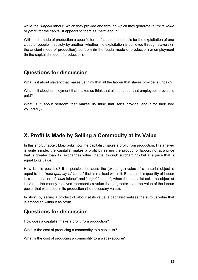while the "*unpaid* labour" which they provide and through which they generate "*surplus value* or *profit*" for the capitalist appears to them as "*paid* labour."

With each mode of production a specific form of labour is the basis for the exploitation of one class of people in society by another, whether the exploitation is achieved through slavery (in the ancient mode of production), serfdom (in the feudal mode of production) or employment (in the capitalist mode of production).

#### **Questions for discussion**

What is it about slavery that makes us think that all the labour that slaves provide is unpaid?

What is it about employment that makes us think that all the labour that employees provide is paid?

What is it about serfdom that makes us think that serfs provide labour for their lord voluntarily?

# **X. Profit Is Made by Selling a Commodity at Its Value**

In this short chapter, Marx asks how the capitalist makes a profit from production. His answer is quite simple: the capitalist makes a profit by selling the product of labour, not at a price that is greater than its (exchange) value (that is, through surcharging) but at a price that is equal to its value.

How is this possible? It is possible because the (exchange) value of a material object is equal to the "*total quantity of labour*" that is realised within it. Because this quantity of labour is a combination of "*paid* labour" and "*unpaid* labour", when the capitalist sells the object at its value, the money received represents a value that is greater than the value of the labour power that was used in its production (the necessary value).

In short, by selling a product of labour at its value, a capitalist realises the surplus value that is embodied within it as profit.

# **Questions for discussion**

How does a capitalist make a profit from production?

What is the cost of producing a commodity to a capitalist?

What is the cost of producing a commodity to a wage-labourer?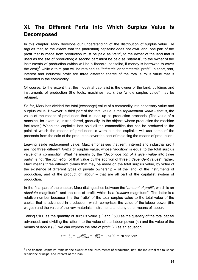# **XI. The Different Parts into Which Surplus Value Is Decomposed**

In this chapter, Marx develops our understanding of the distribution of surplus value. He argues that, to the extent that the (industrial) capitalist does not own land, one part of the profit that is made from production must be paid as "*rent*", to the owner of the land that is used as the site of production; a second part must be paid as "*interest*", to the owner of the instruments of production (which will be a financial capitalist, if money is borrowed to cover the cost);<sup>3</sup> while a third part will be retained as "*industrial* or *commercial* profit". In short, rent, interest and industrial profit are three different *shares* of the total surplus value that is embodied in the commodity.

Of course, to the extent that the industrial capitalist is the owner of the land, buildings and instruments of production (the tools, machines, etc.), the "whole surplus value" may be retained.

So far, Marx has divided the total (exchange) value of a commodity into necessary value and surplus value. However, a third part of the total value is the *replacement value* – that is, the value of the means of production that is used up as production proceeds. (The value of a machine, for example, is transferred, gradually, to the objects whose production the machine facilitates.) When the capitalist has sold all the commodities that can be produced to the point at which the means of production is worn out, the capitalist will use some of the proceeds from the sale of the product to cover the cost of replacing the means of production.

Leaving aside replacement value, Marx emphasises that rent, interest and industrial profit are not three different *forms* of surplus value, whose "addition" is equal to the total surplus value of a commodity. What he means by the "*decomposition of a given value* into three parts" is not "the *formation* of that value by the addition of three *independent* values"; rather, Marx means three different claims that may be made on the total surplus value, by virtue of the existence of different types of private ownership – of the land, of the instruments of production, and of the product of labour – that are all part of the capitalist system of production.

In the final part of the chapter, Marx distinguishes between the "*amount of profit*", which is an *absolute* magnitude", and the rate of profit, which is a "*relative* magnitude". The latter is a relative number because it is the "ratio" of the total surplus value to the total value of the capital that is advanced in production, which comprises the value of the labour power (the wages) and the value of the raw materials, instruments and any other means of labour.

Taking £100 as the quantity of surplus value (*s*) and £500 as the quantity of the total capital advanced, and dividing the latter into the value of the labour power  $(v)$  and the value of the means of labour ( *c* ), we can express the rate of profit (*r* ) as an equation:

$$
r = \frac{s}{c+v} = \frac{\text{£}100}{\text{£}400+\text{£}100} = \frac{\text{£}100}{\text{£}500} = \frac{1}{5} \times 100 = 20 \text{ per cent}
$$

 $3$  The financial capitalist remains the owner of the instruments of production, until the industrial capitalist has repaid the principal and interest of the loan.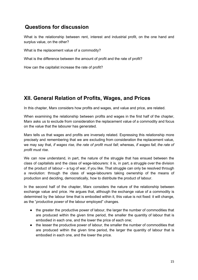#### **Questions for discussion**

What is the relationship between rent, interest and industrial profit, on the one hand and surplus value, on the other?

What is the replacement value of a commodity?

What is the difference between the amount of profit and the rate of profit?

How can the capitalist increase the rate of profit?

# **XII. General Relation of Profits, Wages, and Prices**

In this chapter, Marx considers how profits and wages, and value and price, are related.

When examining the relationship between profits and wages in the first half of the chapter, Marx asks us to exclude from consideration the replacement value of a commodity and focus on the value that the labourer has generated.

Marx tells us that wages and profits are inversely related. Expressing this relationship more precisely and remembering that we are excluding from consideration the replacement value, we may say that, *if wages rise, the rate of profit must fall*; whereas, *if wages fall, the rate of profit must rise*.

We can now understand, in part, the nature of the struggle that has ensued between the class of capitalists and the class of wage-labourers: it is, in part, a struggle over the division of the product of labour – a tug of war, if you like. That struggle can only be resolved through a revolution: through the class of wage-labourers taking ownership of the means of production and deciding, democratically, how to distribute the product of labour.

In the second half of the chapter, Marx considers the nature of the relationship between exchange value and price. He argues that, although the exchange value of a commodity is determined by the labour time that is embodied within it, this value is not fixed: it will change, as the "*productive power* of the labour employed" changes.

- the greater the productive power of labour, the larger the number of commodities that are produced within the given time period, the smaller the quantity of labour that is embodied in each one, and the lower the price of each one;
- the lesser the productive power of labour, the smaller the number of commodities that are produced within the given time period, the larger the quantity of labour that is embodied in each one, and the lower the price.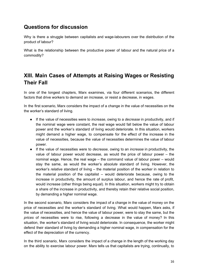### **Questions for discussion**

Why is there a struggle between capitalists and wage-labourers over the distribution of the product of labour?

What is the relationship between the productive power of labour and the natural price of a commodity?

# **XIII. Main Cases of Attempts at Raising Wages or Resisting Their Fall**

In one of the longest chapters, Marx examines, via four different scenarios, the different factors that drive workers to demand an increase, or resist a decrease, in wages.

In the first scenario, Marx considers the impact of a change in the value of necessities on the the worker's standard of living.

- If the value of necessities were to *increase*, owing to a *decrease* in productivity, and if the nominal wage were constant, the real wage would fall below the value of labour power and the worker's standard of living would deteriorate. In this situation, workers might demand a higher wage, to compensate for the effect of the increase in the value of necessities, because the value of necessities determines the value of labour power.
- If the value of necessities were to *decrease*, owing to an *increase* in productivity, the value of labour power would decrease, as would the price of labour power – the nominal wage. Hence, the real wage – the command value of labour power – would stay the same, as would the worker's *absolute* standard of living. However, the worker's *relative* standard of living – the material position of the worker in relation to the material position of the capitalist – would deteriorate because, owing to the increase in productivity, the amount of surplus labour, and hence the rate of profit, would increase (other things being equal). In this situation, workers might try to obtain a share of the increase in productivity, and thereby retain their relative social position, by demanding a higher nominal wage.

In the second scenario, Marx considers the impact of a change in the value of money on the price of necessities and the worker's standard of living. What would happen, Marx asks, if the value of necessities, and hence the value of labour power, were to stay the same, but the *prices* of necessities were to rise, following a decrease in the value of money? In this situation, the worker's standard of living would deteriorate. In consequence, the worker might defend their standard of living by demanding a higher nominal wage, in compensation for the effect of the depreciation of the currency.

In the third scenario, Marx considers the impact of a change in the length of the working day on the ability to exercise labour power. Marx tells us that capitalists are trying, continually, to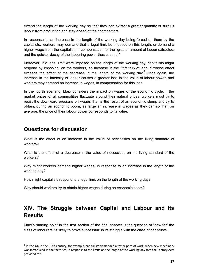extend the length of the working day so that they can extract a greater quantity of surplus labour from production and stay ahead of their competitors.

In response to an increase in the length of the working day being forced on them by the capitalists, workers may demand that a legal limit be imposed on this length, or demand a higher wage from the capitalist, in compensation for the "greater amount of labour extracted, and the quicker decay of the labouring power thus caused."

Moreover, if a legal limit were imposed on the length of the working day, capitalists might respond by imposing, on the workers, an increase in the "*intensity* of labour" whose effect exceeds the effect of the decrease in the length of the working day. $4$  Once again, the increase in the intensity of labour causes a greater loss in the value of labour power, and workers may demand an increase in wages, in compensation for this loss.

In the fourth scenario, Marx considers the impact on wages of the economic cycle. If the market prices of all commodities fluctuate around their natural prices, workers must try to resist the downward pressure on wages that is the result of an economic slump and try to obtain, during an economic boom, as large an increase in wages as they can so that, on average, the price of their labour power corresponds to its value.

#### **Questions for discussion**

What is the effect of an increase in the value of necessities on the living standard of workers?

What is the effect of a decrease in the value of necessities on the living standard of the workers?

Why might workers demand higher wages, in response to an increase in the length of the working day?

How might capitalists respond to a legal limit on the length of the working day?

Why should workers try to obtain higher wages during an economic boom?

# **XIV. The Struggle between Capital and Labour and Its Results**

Marx's starting point in the first section of the final chapter is the question of "how far" the class of labourers "is likely to prove successful" in its struggle with the class of capitalists.

<sup>&</sup>lt;sup>4</sup> In the UK in the 19th century, for example, capitalists demanded a faster pace of work, when new machinery was introduced in the factories, in response to the limits on the length of the working day that the Factory Acts provided for.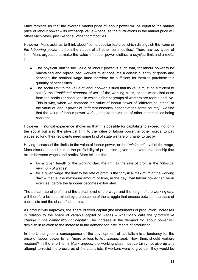Marx reminds us that the average market price of labour power will be equal to the natural price of labour power – its exchange value – because the fluctuations in the market price will offset each other, just like for all other commodities.

However, Marx asks us to think about "some peculiar features which distinguish the *value of the labouring power* … from the values of all other commodities." There are two types of limit, Marx argues, that make the value of labour power distinct: a *physical* limit and a *social* limit.

- The physical limit to the value of labour power is such that, for labour power to be maintained and reproduced, workers must consume a certain quantity of goods and services; the nominal wage must therefore be sufficient for them to purchase this quantity of necessities.
- The social limit to the value of labour power is such that its value must be sufficient to satisfy the "*traditional standard of life*" of the working class, or the wants that arise from the particular conditions in which different groups of workers are reared and live. This is why, when we compare the value of labour power of "different countries" or the value of labour power of "different historical epochs of the same country", we find that the value of labour power *varies*, despite the values of other commodities being constant.

However, historical experience shows us that it is possible for capitalists to exceed, not only the social but also the physical limit to the value of labour power, in other words, to pay wages so long their recipients need some kind of state welfare or charity to get by.

Having discussed the limits to the value of labour power, or the "*minimum*" level of the wage, Marx discusses the limits to the profitability of production, given the inverse relationship that exists between wages and profits. Marx tells us that

- for a given length of the working day, the limit to the rate of profit is the "*physical minimum of wages*";
- for a given wage, the limit to the rate of profit is the "physical maximum of the working day" – that is, the maximum amount of time, in the day, that labour power can be in exercise, before the labourer becomes exhausted.

The actual rate of profit, and the actual level of the wage and the length of the working day, will therefore be determined by the outcome of the struggle that ensues between the class of capitalists and the class of labourers.

As productivity improves, the share of fixed capital (the instruments of production) increases in relation to the share of variable capital or wages – what Marx calls the "*progressive change in the composition of capital*." The increase in the demand for labour power will diminish in relation to the increase in the demand for instruments of production.

In short, the general consequence of the development of capitalism is a tendency for the price of labour power to fall "more or less to its *minimum limit*." How, then, should workers respond? In the short term, Marx argues, the working class must certainly not give up any attempt to resist the pressures of the capitalists; if workers were to give up, "they would be